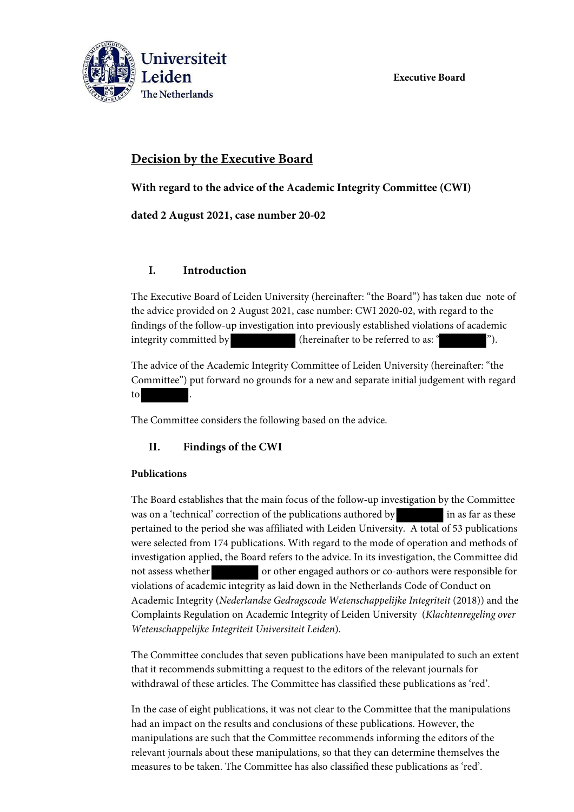**Executive Board**



# **Decision by the Executive Board**

**With regard to the advice of the Academic Integrity Committee (CWI)**

**dated 2 August 2021, case number 20-02**

### **I. Introduction**

The Executive Board of Leiden University (hereinafter: "the Board") has taken due note of the advice provided on 2 August 2021, case number: CWI 2020-02, with regard to the findings of the follow-up investigation into previously established violations of academic integrity committed by (hereinafter to be referred to as: ").

The advice of the Academic Integrity Committee of Leiden University (hereinafter: "the Committee") put forward no grounds for a new and separate initial judgement with regard to

The Committee considers the following based on the advice.

## **II. Findings of the CWI**

#### **Publications**

The Board establishes that the main focus of the follow-up investigation by the Committee was on a 'technical' correction of the publications authored by in as far as these pertained to the period she was affiliated with Leiden University. A total of 53 publications were selected from 174 publications. With regard to the mode of operation and methods of investigation applied, the Board refers to the advice. In its investigation, the Committee did not assess whether or other engaged authors or co-authors were responsible for violations of academic integrity as laid down in the Netherlands Code of Conduct on Academic Integrity (*Nederlandse Gedragscode Wetenschappelijke Integriteit* (2018)) and the Complaints Regulation on Academic Integrity of Leiden University (*Klachtenregeling over Wetenschappelijke Integriteit Universiteit Leiden*).

The Committee concludes that seven publications have been manipulated to such an extent that it recommends submitting a request to the editors of the relevant journals for withdrawal of these articles. The Committee has classified these publications as 'red'.

In the case of eight publications, it was not clear to the Committee that the manipulations had an impact on the results and conclusions of these publications. However, the manipulations are such that the Committee recommends informing the editors of the relevant journals about these manipulations, so that they can determine themselves the measures to be taken. The Committee has also classified these publications as 'red'.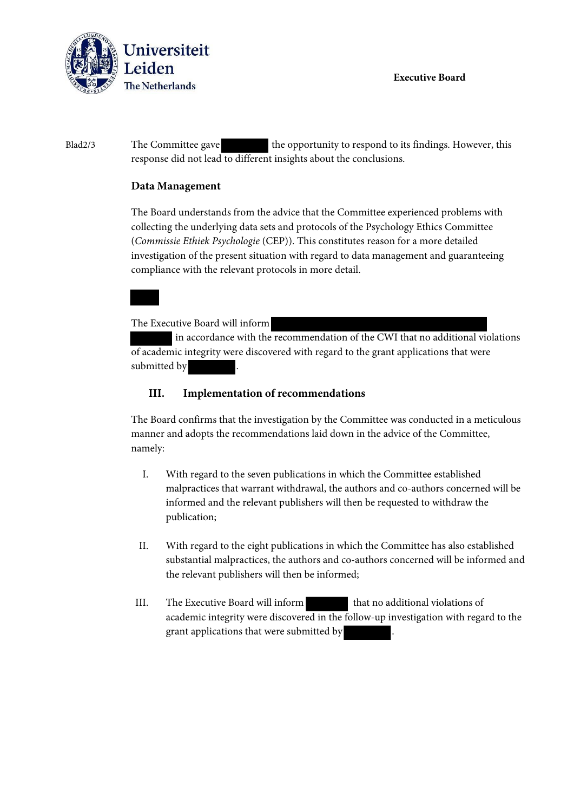

**Executive Board**

Blad2/3 The Committee gave the opportunity to respond to its findings. However, this response did not lead to different insights about the conclusions.

#### **Data Management**

The Board understands from the advice that the Committee experienced problems with collecting the underlying data sets and protocols of the Psychology Ethics Committee (*Commissie Ethiek Psychologie* (CEP)). This constitutes reason for a more detailed investigation of the present situation with regard to data management and guaranteeing compliance with the relevant protocols in more detail.

The Executive Board will inform

 in accordance with the recommendation of the CWI that no additional violations of academic integrity were discovered with regard to the grant applications that were submitted by

#### **III. Implementation of recommendations**

The Board confirms that the investigation by the Committee was conducted in a meticulous manner and adopts the recommendations laid down in the advice of the Committee, namely:

- I. With regard to the seven publications in which the Committee established malpractices that warrant withdrawal, the authors and co-authors concerned will be informed and the relevant publishers will then be requested to withdraw the publication;
- II. With regard to the eight publications in which the Committee has also established substantial malpractices, the authors and co-authors concerned will be informed and the relevant publishers will then be informed;
- III. The Executive Board will inform that no additional violations of academic integrity were discovered in the follow-up investigation with regard to the grant applications that were submitted by